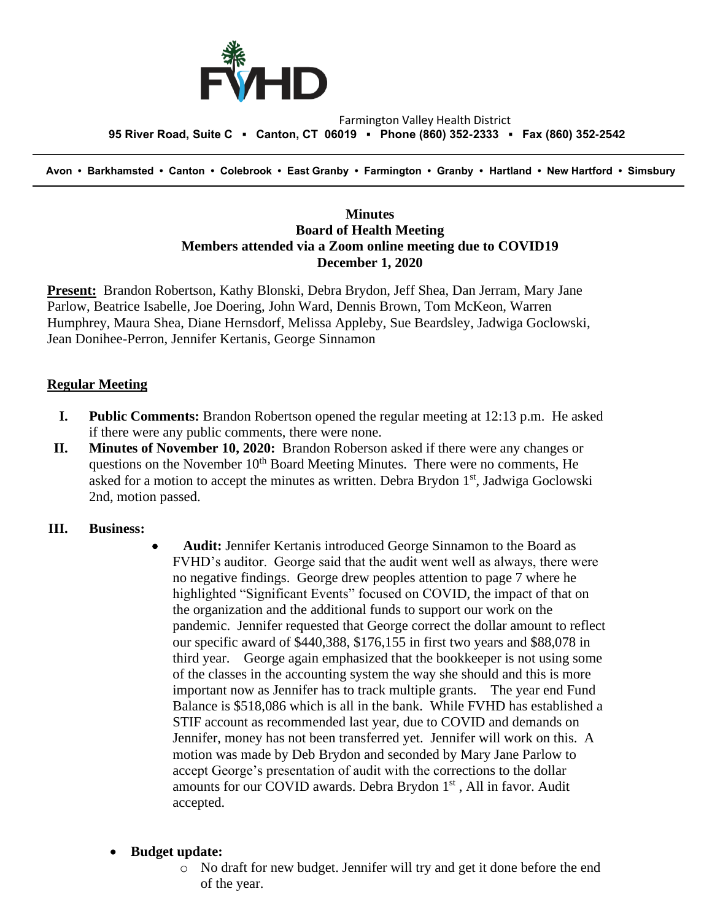

#### Farmington Valley Health District  **95 River Road, Suite C ▪ Canton, CT 06019 ▪ Phone (860) 352-2333 ▪ Fax (860) 352-2542**

 **Avon • Barkhamsted • Canton • Colebrook • East Granby • Farmington • Granby • Hartland • New Hartford • Simsbury**

## **Minutes Board of Health Meeting Members attended via a Zoom online meeting due to COVID19 December 1, 2020**

**Present:** Brandon Robertson, Kathy Blonski, Debra Brydon, Jeff Shea, Dan Jerram, Mary Jane Parlow, Beatrice Isabelle, Joe Doering, John Ward, Dennis Brown, Tom McKeon, Warren Humphrey, Maura Shea, Diane Hernsdorf, Melissa Appleby, Sue Beardsley, Jadwiga Goclowski, Jean Donihee-Perron, Jennifer Kertanis, George Sinnamon

## **Regular Meeting**

- **I. Public Comments:** Brandon Robertson opened the regular meeting at 12:13 p.m. He asked if there were any public comments, there were none.
- **II. Minutes of November 10, 2020:** Brandon Roberson asked if there were any changes or questions on the November  $10<sup>th</sup>$  Board Meeting Minutes. There were no comments, He asked for a motion to accept the minutes as written. Debra Brydon 1<sup>st</sup>, Jadwiga Goclowski 2nd, motion passed.

## **III. Business:**

• **Audit:** Jennifer Kertanis introduced George Sinnamon to the Board as FVHD's auditor. George said that the audit went well as always, there were no negative findings. George drew peoples attention to page 7 where he highlighted "Significant Events" focused on COVID, the impact of that on the organization and the additional funds to support our work on the pandemic. Jennifer requested that George correct the dollar amount to reflect our specific award of \$440,388, \$176,155 in first two years and \$88,078 in third year. George again emphasized that the bookkeeper is not using some of the classes in the accounting system the way she should and this is more important now as Jennifer has to track multiple grants. The year end Fund Balance is \$518,086 which is all in the bank. While FVHD has established a STIF account as recommended last year, due to COVID and demands on Jennifer, money has not been transferred yet. Jennifer will work on this. A motion was made by Deb Brydon and seconded by Mary Jane Parlow to accept George's presentation of audit with the corrections to the dollar amounts for our COVID awards. Debra Brydon 1<sup>st</sup>, All in favor. Audit accepted.

#### • **Budget update:**

o No draft for new budget. Jennifer will try and get it done before the end of the year.